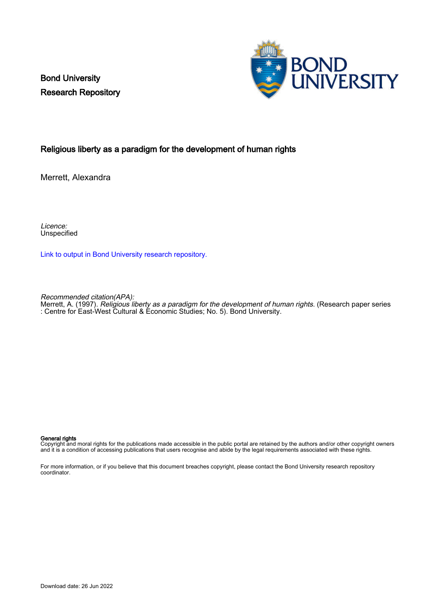Bond University Research Repository



#### Religious liberty as a paradigm for the development of human rights

Merrett, Alexandra

Licence: Unspecified

[Link to output in Bond University research repository.](https://research.bond.edu.au/en/publications/506d2f83-4fad-4b4c-81ec-003aba639d5b)

Recommended citation(APA):

Merrett, A. (1997). Religious liberty as a paradigm for the development of human rights. (Research paper series : Centre for East-West Cultural & Economic Studies; No. 5). Bond University.

#### General rights

Copyright and moral rights for the publications made accessible in the public portal are retained by the authors and/or other copyright owners and it is a condition of accessing publications that users recognise and abide by the legal requirements associated with these rights.

For more information, or if you believe that this document breaches copyright, please contact the Bond University research repository coordinator.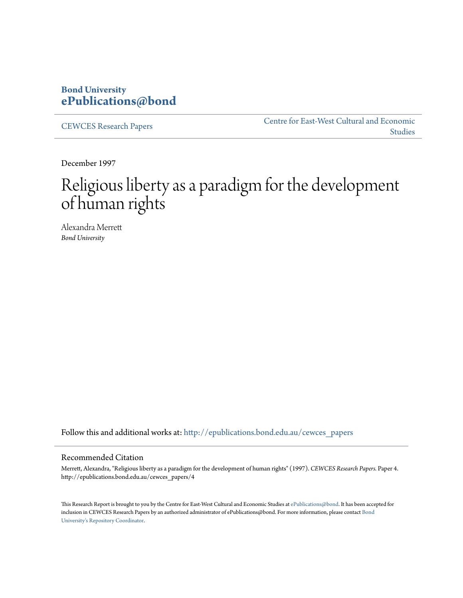### **Bond University [ePublications@bond](http://epublications.bond.edu.au?utm_source=epublications.bond.edu.au%2Fcewces_papers%2F4&utm_medium=PDF&utm_campaign=PDFCoverPages)**

[CEWCES Research Papers](http://epublications.bond.edu.au/cewces_papers?utm_source=epublications.bond.edu.au%2Fcewces_papers%2F4&utm_medium=PDF&utm_campaign=PDFCoverPages)

[Centre for East-West Cultural and Economic](http://epublications.bond.edu.au/cewces?utm_source=epublications.bond.edu.au%2Fcewces_papers%2F4&utm_medium=PDF&utm_campaign=PDFCoverPages) [Studies](http://epublications.bond.edu.au/cewces?utm_source=epublications.bond.edu.au%2Fcewces_papers%2F4&utm_medium=PDF&utm_campaign=PDFCoverPages)

December 1997

# Religious liberty as a paradigm for the development of human rights

Alexandra Merrett *Bond University*

Follow this and additional works at: [http://epublications.bond.edu.au/cewces\\_papers](http://epublications.bond.edu.au/cewces_papers?utm_source=epublications.bond.edu.au%2Fcewces_papers%2F4&utm_medium=PDF&utm_campaign=PDFCoverPages)

#### Recommended Citation

Merrett, Alexandra, "Religious liberty as a paradigm for the development of human rights" (1997). *CEWCES Research Papers.* Paper 4. http://epublications.bond.edu.au/cewces\_papers/4

This Research Report is brought to you by the Centre for East-West Cultural and Economic Studies at [ePublications@bond.](http://epublications.bond.edu.au) It has been accepted for inclusion in CEWCES Research Papers by an authorized administrator of ePublications@bond. For more information, please contact [Bond](mailto:acass@bond.edu.au) [University's Repository Coordinator](mailto:acass@bond.edu.au).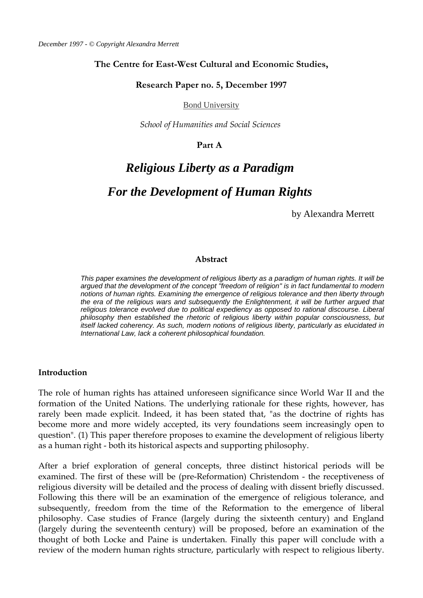#### **The Centre for East-West Cultural and Economic Studies,**

#### **Research Paper no. 5, December 1997**

Bond University

*School of Humanities and Social Sciences* 

#### **Part A**

# *Religious Liberty as a Paradigm*

# *For the Development of Human Rights*

by Alexandra Merrett

#### **Abstract**

*This paper examines the development of religious liberty as a paradigm of human rights. It will be argued that the development of the concept "freedom of religion" is in fact fundamental to modern notions of human rights. Examining the emergence of religious tolerance and then liberty through the era of the religious wars and subsequently the Enlightenment, it will be further argued that religious tolerance evolved due to political expediency as opposed to rational discourse. Liberal philosophy then established the rhetoric of religious liberty within popular consciousness, but itself lacked coherency. As such, modern notions of religious liberty, particularly as elucidated in International Law, lack a coherent philosophical foundation.* 

#### **Introduction**

The role of human rights has attained unforeseen significance since World War II and the formation of the United Nations. The underlying rationale for these rights, however, has rarely been made explicit. Indeed, it has been stated that, "as the doctrine of rights has become more and more widely accepted, its very foundations seem increasingly open to question". (1) This paper therefore proposes to examine the development of religious liberty as a human right - both its historical aspects and supporting philosophy.

After a brief exploration of general concepts, three distinct historical periods will be examined. The first of these will be (pre-Reformation) Christendom - the receptiveness of religious diversity will be detailed and the process of dealing with dissent briefly discussed. Following this there will be an examination of the emergence of religious tolerance, and subsequently, freedom from the time of the Reformation to the emergence of liberal philosophy. Case studies of France (largely during the sixteenth century) and England (largely during the seventeenth century) will be proposed, before an examination of the thought of both Locke and Paine is undertaken. Finally this paper will conclude with a review of the modern human rights structure, particularly with respect to religious liberty.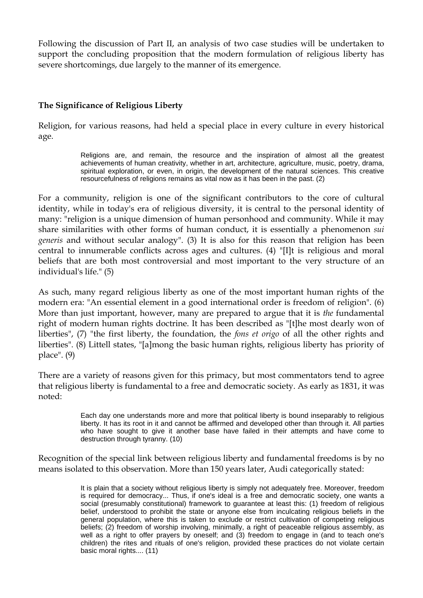Following the discussion of Part II, an analysis of two case studies will be undertaken to support the concluding proposition that the modern formulation of religious liberty has severe shortcomings, due largely to the manner of its emergence.

#### **The Significance of Religious Liberty**

Religion, for various reasons, had held a special place in every culture in every historical age.

> Religions are, and remain, the resource and the inspiration of almost all the greatest achievements of human creativity, whether in art, architecture, agriculture, music, poetry, drama, spiritual exploration, or even, in origin, the development of the natural sciences. This creative resourcefulness of religions remains as vital now as it has been in the past. (2)

For a community, religion is one of the significant contributors to the core of cultural identity, while in today's era of religious diversity, it is central to the personal identity of many: "religion is a unique dimension of human personhood and community. While it may share similarities with other forms of human conduct, it is essentially a phenomenon *sui generis* and without secular analogy". (3) It is also for this reason that religion has been central to innumerable conflicts across ages and cultures. (4) "[I]t is religious and moral beliefs that are both most controversial and most important to the very structure of an individual's life." (5)

As such, many regard religious liberty as one of the most important human rights of the modern era: "An essential element in a good international order is freedom of religion". (6) More than just important, however, many are prepared to argue that it is *the* fundamental right of modern human rights doctrine. It has been described as "[t]he most dearly won of liberties", (7) "the first liberty, the foundation, the *fons et origo* of all the other rights and liberties". (8) Littell states, "[a]mong the basic human rights, religious liberty has priority of place". (9)

There are a variety of reasons given for this primacy, but most commentators tend to agree that religious liberty is fundamental to a free and democratic society. As early as 1831, it was noted:

> Each day one understands more and more that political liberty is bound inseparably to religious liberty. It has its root in it and cannot be affirmed and developed other than through it. All parties who have sought to give it another base have failed in their attempts and have come to destruction through tyranny. (10)

Recognition of the special link between religious liberty and fundamental freedoms is by no means isolated to this observation. More than 150 years later, Audi categorically stated:

> It is plain that a society without religious liberty is simply not adequately free. Moreover, freedom is required for democracy... Thus, if one's ideal is a free and democratic society, one wants a social (presumably constitutional) framework to guarantee at least this: (1) freedom of religious belief, understood to prohibit the state or anyone else from inculcating religious beliefs in the general population, where this is taken to exclude or restrict cultivation of competing religious beliefs; (2) freedom of worship involving, minimally, a right of peaceable religious assembly, as well as a right to offer prayers by oneself; and (3) freedom to engage in (and to teach one's children) the rites and rituals of one's religion, provided these practices do not violate certain basic moral rights.... (11)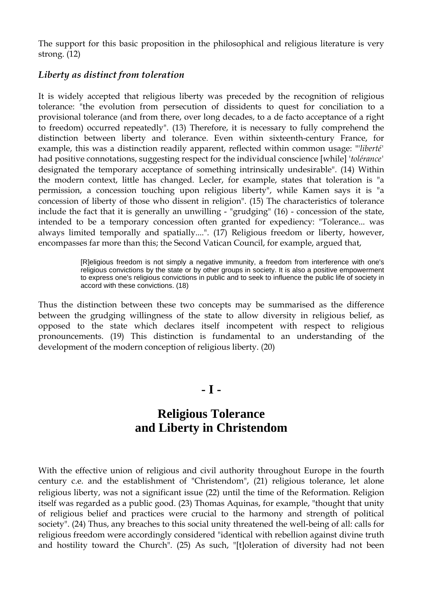The support for this basic proposition in the philosophical and religious literature is very strong. (12)

#### *Liberty as distinct from toleration*

It is widely accepted that religious liberty was preceded by the recognition of religious tolerance: "the evolution from persecution of dissidents to quest for conciliation to a provisional tolerance (and from there, over long decades, to a de facto acceptance of a right to freedom) occurred repeatedly". (13) Therefore, it is necessary to fully comprehend the distinction between liberty and tolerance. Even within sixteenth-century France, for example, this was a distinction readily apparent, reflected within common usage: "'*liberté'* had positive connotations, suggesting respect for the individual conscience [while] '*tolérance'* designated the temporary acceptance of something intrinsically undesirable". (14) Within the modern context, little has changed. Lecler, for example, states that toleration is "a permission, a concession touching upon religious liberty", while Kamen says it is "a concession of liberty of those who dissent in religion". (15) The characteristics of tolerance include the fact that it is generally an unwilling - "grudging" (16) - concession of the state, intended to be a temporary concession often granted for expediency: "Tolerance... was always limited temporally and spatially....". (17) Religious freedom or liberty, however, encompasses far more than this; the Second Vatican Council, for example, argued that,

> [R]eligious freedom is not simply a negative immunity, a freedom from interference with one's religious convictions by the state or by other groups in society. It is also a positive empowerment to express one's religious convictions in public and to seek to influence the public life of society in accord with these convictions. (18)

Thus the distinction between these two concepts may be summarised as the difference between the grudging willingness of the state to allow diversity in religious belief, as opposed to the state which declares itself incompetent with respect to religious pronouncements. (19) This distinction is fundamental to an understanding of the development of the modern conception of religious liberty. (20)

## **- I -**

# **Religious Tolerance and Liberty in Christendom**

With the effective union of religious and civil authority throughout Europe in the fourth century c.e. and the establishment of "Christendom", (21) religious tolerance, let alone religious liberty, was not a significant issue (22) until the time of the Reformation. Religion itself was regarded as a public good. (23) Thomas Aquinas, for example, "thought that unity of religious belief and practices were crucial to the harmony and strength of political society". (24) Thus, any breaches to this social unity threatened the well-being of all: calls for religious freedom were accordingly considered "identical with rebellion against divine truth and hostility toward the Church". (25) As such, "[t]oleration of diversity had not been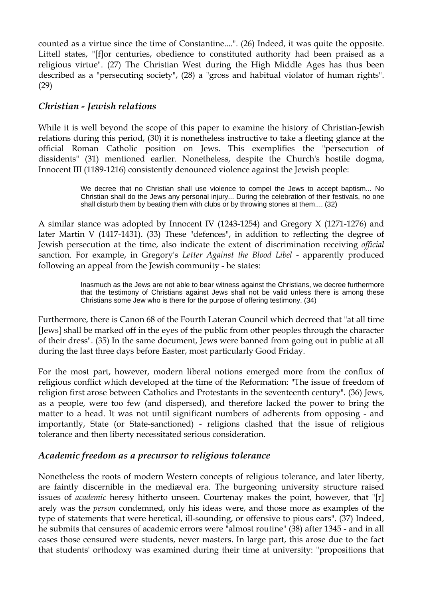counted as a virtue since the time of Constantine....". (26) Indeed, it was quite the opposite. Littell states, "[f]or centuries, obedience to constituted authority had been praised as a religious virtue". (27) The Christian West during the High Middle Ages has thus been described as a "persecuting society", (28) a "gross and habitual violator of human rights". (29)

### *Christian - Jewish relations*

While it is well beyond the scope of this paper to examine the history of Christian-Jewish relations during this period, (30) it is nonetheless instructive to take a fleeting glance at the official Roman Catholic position on Jews. This exemplifies the "persecution of dissidents" (31) mentioned earlier. Nonetheless, despite the Church's hostile dogma, Innocent III (1189-1216) consistently denounced violence against the Jewish people:

> We decree that no Christian shall use violence to compel the Jews to accept baptism... No Christian shall do the Jews any personal injury... During the celebration of their festivals, no one shall disturb them by beating them with clubs or by throwing stones at them.... (32)

A similar stance was adopted by Innocent IV (1243-1254) and Gregory X (1271-1276) and later Martin V (1417-1431). (33) These "defences", in addition to reflecting the degree of Jewish persecution at the time, also indicate the extent of discrimination receiving *official* sanction. For example, in Gregory's *Letter Against the Blood Libel* - apparently produced following an appeal from the Jewish community - he states:

> Inasmuch as the Jews are not able to bear witness against the Christians, we decree furthermore that the testimony of Christians against Jews shall not be valid unless there is among these Christians some Jew who is there for the purpose of offering testimony. (34)

Furthermore, there is Canon 68 of the Fourth Lateran Council which decreed that "at all time [Jews] shall be marked off in the eyes of the public from other peoples through the character of their dress". (35) In the same document, Jews were banned from going out in public at all during the last three days before Easter, most particularly Good Friday.

For the most part, however, modern liberal notions emerged more from the conflux of religious conflict which developed at the time of the Reformation: "The issue of freedom of religion first arose between Catholics and Protestants in the seventeenth century". (36) Jews, as a people, were too few (and dispersed), and therefore lacked the power to bring the matter to a head. It was not until significant numbers of adherents from opposing - and importantly, State (or State-sanctioned) - religions clashed that the issue of religious tolerance and then liberty necessitated serious consideration.

### *Academic freedom as a precursor to religious tolerance*

Nonetheless the roots of modern Western concepts of religious tolerance, and later liberty, are faintly discernible in the mediæval era. The burgeoning university structure raised issues of *academic* heresy hitherto unseen. Courtenay makes the point, however, that "[r] arely was the *person* condemned, only his ideas were, and those more as examples of the type of statements that were heretical, ill-sounding, or offensive to pious ears". (37) Indeed, he submits that censures of academic errors were "almost routine" (38) after 1345 - and in all cases those censured were students, never masters. In large part, this arose due to the fact that students' orthodoxy was examined during their time at university: "propositions that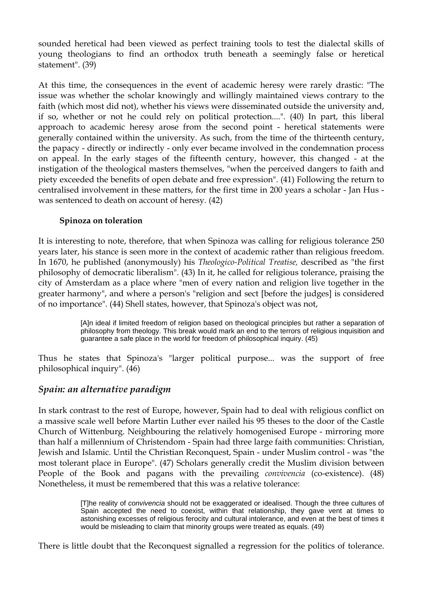sounded heretical had been viewed as perfect training tools to test the dialectal skills of young theologians to find an orthodox truth beneath a seemingly false or heretical statement". (39)

At this time, the consequences in the event of academic heresy were rarely drastic: "The issue was whether the scholar knowingly and willingly maintained views contrary to the faith (which most did not), whether his views were disseminated outside the university and, if so, whether or not he could rely on political protection....". (40) In part, this liberal approach to academic heresy arose from the second point - heretical statements were generally contained within the university. As such, from the time of the thirteenth century, the papacy - directly or indirectly - only ever became involved in the condemnation process on appeal. In the early stages of the fifteenth century, however, this changed - at the instigation of the theological masters themselves, "when the perceived dangers to faith and piety exceeded the benefits of open debate and free expression". (41) Following the return to centralised involvement in these matters, for the first time in 200 years a scholar - Jan Hus was sentenced to death on account of heresy. (42)

#### **Spinoza on toleration**

It is interesting to note, therefore, that when Spinoza was calling for religious tolerance 250 years later, his stance is seen more in the context of academic rather than religious freedom. In 1670, he published (anonymously) his *Theologico-Political Treatise,* described as "the first philosophy of democratic liberalism". (43) In it, he called for religious tolerance, praising the city of Amsterdam as a place where "men of every nation and religion live together in the greater harmony", and where a person's "religion and sect [before the judges] is considered of no importance". (44) Shell states, however, that Spinoza's object was not,

> [A]n ideal if limited freedom of religion based on theological principles but rather a separation of philosophy from theology. This break would mark an end to the terrors of religious inquisition and guarantee a safe place in the world for freedom of philosophical inquiry. (45)

Thus he states that Spinoza's "larger political purpose... was the support of free philosophical inquiry". (46)

### *Spain: an alternative paradigm*

In stark contrast to the rest of Europe, however, Spain had to deal with religious conflict on a massive scale well before Martin Luther ever nailed his 95 theses to the door of the Castle Church of Wittenburg. Neighbouring the relatively homogenised Europe - mirroring more than half a millennium of Christendom - Spain had three large faith communities: Christian, Jewish and Islamic. Until the Christian Reconquest, Spain - under Muslim control - was "the most tolerant place in Europe". (47) Scholars generally credit the Muslim division between People of the Book and pagans with the prevailing *convivencia* (co-existence). (48) Nonetheless, it must be remembered that this was a relative tolerance:

> [T]he reality of *convivencia* should not be exaggerated or idealised. Though the three cultures of Spain accepted the need to coexist, within that relationship, they gave vent at times to astonishing excesses of religious ferocity and cultural intolerance, and even at the best of times it would be misleading to claim that minority groups were treated as equals. (49)

There is little doubt that the Reconquest signalled a regression for the politics of tolerance.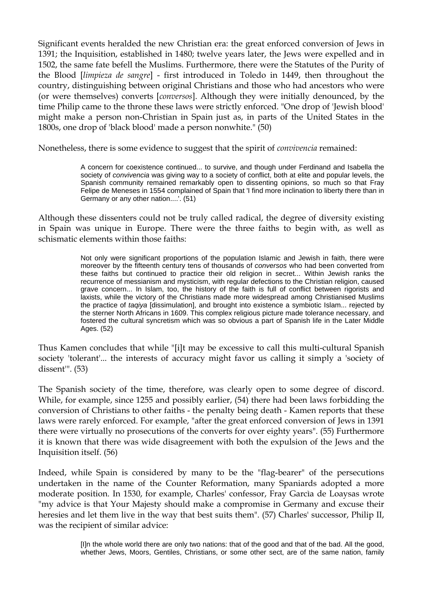Significant events heralded the new Christian era: the great enforced conversion of Jews in 1391; the Inquisition, established in 1480; twelve years later, the Jews were expelled and in 1502, the same fate befell the Muslims. Furthermore, there were the Statutes of the Purity of the Blood [*limpieza de sangre*] - first introduced in Toledo in 1449, then throughout the country, distinguishing between original Christians and those who had ancestors who were (or were themselves) converts [*conversos*]. Although they were initially denounced, by the time Philip came to the throne these laws were strictly enforced. "One drop of 'Jewish blood' might make a person non-Christian in Spain just as, in parts of the United States in the 1800s, one drop of 'black blood' made a person nonwhite." (50)

Nonetheless, there is some evidence to suggest that the spirit of *convivencia* remained:

A concern for coexistence continued... to survive, and though under Ferdinand and Isabella the society of *convivencia* was giving way to a society of conflict, both at elite and popular levels, the Spanish community remained remarkably open to dissenting opinions, so much so that Fray Felipe de Meneses in 1554 complained of Spain that 'I find more inclination to liberty there than in Germany or any other nation....'. (51)

Although these dissenters could not be truly called radical, the degree of diversity existing in Spain was unique in Europe. There were the three faiths to begin with, as well as schismatic elements within those faiths:

> Not only were significant proportions of the population Islamic and Jewish in faith, there were moreover by the fifteenth century tens of thousands of *conversos* who had been converted from these faiths but continued to practice their old religion in secret... Within Jewish ranks the recurrence of messianism and mysticism, with regular defections to the Christian religion, caused grave concern... In Islam, too, the history of the faith is full of conflict between rigorists and laxists, while the victory of the Christians made more widespread among Christianised Muslims the practice of *taqiya* [dissimulation], and brought into existence a symbiotic Islam... rejected by the sterner North Africans in 1609. This complex religious picture made tolerance necessary, and fostered the cultural syncretism which was so obvious a part of Spanish life in the Later Middle Ages. (52)

Thus Kamen concludes that while "[i]t may be excessive to call this multi-cultural Spanish society 'tolerant'... the interests of accuracy might favor us calling it simply a 'society of dissent'". (53)

The Spanish society of the time, therefore, was clearly open to some degree of discord. While, for example, since 1255 and possibly earlier, (54) there had been laws forbidding the conversion of Christians to other faiths - the penalty being death - Kamen reports that these laws were rarely enforced. For example, "after the great enforced conversion of Jews in 1391 there were virtually no prosecutions of the converts for over eighty years". (55) Furthermore it is known that there was wide disagreement with both the expulsion of the Jews and the Inquisition itself. (56)

Indeed, while Spain is considered by many to be the "flag-bearer" of the persecutions undertaken in the name of the Counter Reformation, many Spaniards adopted a more moderate position. In 1530, for example, Charles' confessor, Fray Garcìa de Loaysas wrote "my advice is that Your Majesty should make a compromise in Germany and excuse their heresies and let them live in the way that best suits them". (57) Charles' successor, Philip II, was the recipient of similar advice:

> [I]n the whole world there are only two nations: that of the good and that of the bad. All the good, whether Jews, Moors, Gentiles, Christians, or some other sect, are of the same nation, family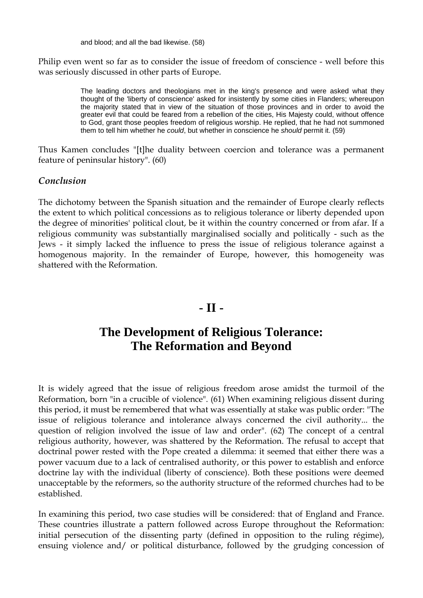and blood; and all the bad likewise. (58)

Philip even went so far as to consider the issue of freedom of conscience - well before this was seriously discussed in other parts of Europe.

> The leading doctors and theologians met in the king's presence and were asked what they thought of the 'liberty of conscience' asked for insistently by some cities in Flanders; whereupon the majority stated that in view of the situation of those provinces and in order to avoid the greater evil that could be feared from a rebellion of the cities, His Majesty could, without offence to God, grant those peoples freedom of religious worship. He replied, that he had not summoned them to tell him whether he *could*, but whether in conscience he *should* permit it. (59)

Thus Kamen concludes "[t]he duality between coercion and tolerance was a permanent feature of peninsular history". (60)

#### *Conclusion*

The dichotomy between the Spanish situation and the remainder of Europe clearly reflects the extent to which political concessions as to religious tolerance or liberty depended upon the degree of minorities' political clout, be it within the country concerned or from afar. If a religious community was substantially marginalised socially and politically - such as the Jews - it simply lacked the influence to press the issue of religious tolerance against a homogenous majority. In the remainder of Europe, however, this homogeneity was shattered with the Reformation.

# **- II -**

# **The Development of Religious Tolerance: The Reformation and Beyond**

It is widely agreed that the issue of religious freedom arose amidst the turmoil of the Reformation, born "in a crucible of violence". (61) When examining religious dissent during this period, it must be remembered that what was essentially at stake was public order: "The issue of religious tolerance and intolerance always concerned the civil authority... the question of religion involved the issue of law and order". (62) The concept of a central religious authority, however, was shattered by the Reformation. The refusal to accept that doctrinal power rested with the Pope created a dilemma: it seemed that either there was a power vacuum due to a lack of centralised authority, or this power to establish and enforce doctrine lay with the individual (liberty of conscience). Both these positions were deemed unacceptable by the reformers, so the authority structure of the reformed churches had to be established.

In examining this period, two case studies will be considered: that of England and France. These countries illustrate a pattern followed across Europe throughout the Reformation: initial persecution of the dissenting party (defined in opposition to the ruling régime), ensuing violence and/ or political disturbance, followed by the grudging concession of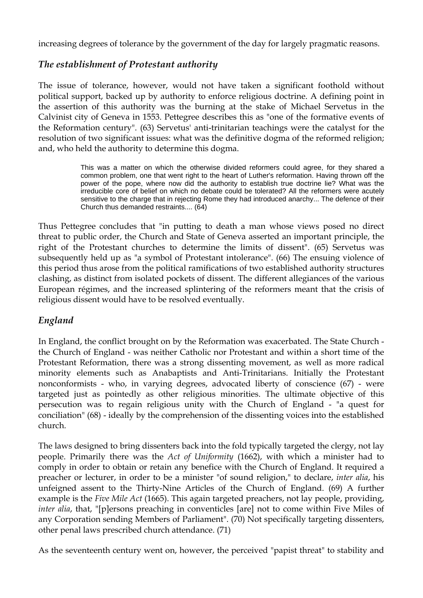increasing degrees of tolerance by the government of the day for largely pragmatic reasons.

### *The establishment of Protestant authority*

The issue of tolerance, however, would not have taken a significant foothold without political support, backed up by authority to enforce religious doctrine. A defining point in the assertion of this authority was the burning at the stake of Michael Servetus in the Calvinist city of Geneva in 1553. Pettegree describes this as "one of the formative events of the Reformation century". (63) Servetus' anti-trinitarian teachings were the catalyst for the resolution of two significant issues: what was the definitive dogma of the reformed religion; and, who held the authority to determine this dogma.

> This was a matter on which the otherwise divided reformers could agree, for they shared a common problem, one that went right to the heart of Luther's reformation. Having thrown off the power of the pope, where now did the authority to establish true doctrine lie? What was the irreducible core of belief on which no debate could be tolerated? All the reformers were acutely sensitive to the charge that in rejecting Rome they had introduced anarchy... The defence of their Church thus demanded restraints.... (64)

Thus Pettegree concludes that "in putting to death a man whose views posed no direct threat to public order, the Church and State of Geneva asserted an important principle, the right of the Protestant churches to determine the limits of dissent". (65) Servetus was subsequently held up as "a symbol of Protestant intolerance". (66) The ensuing violence of this period thus arose from the political ramifications of two established authority structures clashing, as distinct from isolated pockets of dissent. The different allegiances of the various European régimes, and the increased splintering of the reformers meant that the crisis of religious dissent would have to be resolved eventually.

## *England*

In England, the conflict brought on by the Reformation was exacerbated. The State Church the Church of England - was neither Catholic nor Protestant and within a short time of the Protestant Reformation, there was a strong dissenting movement, as well as more radical minority elements such as Anabaptists and Anti-Trinitarians. Initially the Protestant nonconformists - who, in varying degrees, advocated liberty of conscience (67) - were targeted just as pointedly as other religious minorities. The ultimate objective of this persecution was to regain religious unity with the Church of England - "a quest for conciliation" (68) - ideally by the comprehension of the dissenting voices into the established church.

The laws designed to bring dissenters back into the fold typically targeted the clergy, not lay people. Primarily there was the *Act of Uniformity* (1662), with which a minister had to comply in order to obtain or retain any benefice with the Church of England. It required a preacher or lecturer, in order to be a minister "of sound religion," to declare, *inter alia*, his unfeigned assent to the Thirty-Nine Articles of the Church of England. (69) A further example is the *Five Mile Act* (1665). This again targeted preachers, not lay people, providing, *inter alia*, that, "[p]ersons preaching in conventicles [are] not to come within Five Miles of any Corporation sending Members of Parliament". (70) Not specifically targeting dissenters, other penal laws prescribed church attendance. (71)

As the seventeenth century went on, however, the perceived "papist threat" to stability and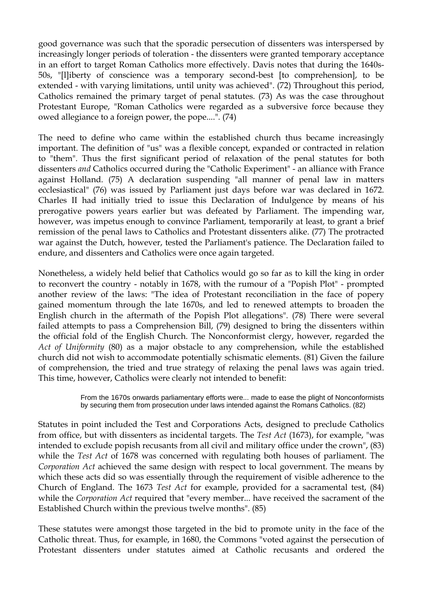good governance was such that the sporadic persecution of dissenters was interspersed by increasingly longer periods of toleration - the dissenters were granted temporary acceptance in an effort to target Roman Catholics more effectively. Davis notes that during the 1640s-50s, "[l]iberty of conscience was a temporary second-best [to comprehension], to be extended - with varying limitations, until unity was achieved". (72) Throughout this period, Catholics remained the primary target of penal statutes. (73) As was the case throughout Protestant Europe, "Roman Catholics were regarded as a subversive force because they owed allegiance to a foreign power, the pope....". (74)

The need to define who came within the established church thus became increasingly important. The definition of "us" was a flexible concept, expanded or contracted in relation to "them". Thus the first significant period of relaxation of the penal statutes for both dissenters *and* Catholics occurred during the "Catholic Experiment" - an alliance with France against Holland. (75) A declaration suspending "all manner of penal law in matters ecclesiastical" (76) was issued by Parliament just days before war was declared in 1672. Charles II had initially tried to issue this Declaration of Indulgence by means of his prerogative powers years earlier but was defeated by Parliament. The impending war, however, was impetus enough to convince Parliament, temporarily at least, to grant a brief remission of the penal laws to Catholics and Protestant dissenters alike. (77) The protracted war against the Dutch, however, tested the Parliament's patience. The Declaration failed to endure, and dissenters and Catholics were once again targeted.

Nonetheless, a widely held belief that Catholics would go so far as to kill the king in order to reconvert the country - notably in 1678, with the rumour of a "Popish Plot" - prompted another review of the laws: "The idea of Protestant reconciliation in the face of popery gained momentum through the late 1670s, and led to renewed attempts to broaden the English church in the aftermath of the Popish Plot allegations". (78) There were several failed attempts to pass a Comprehension Bill, (79) designed to bring the dissenters within the official fold of the English Church. The Nonconformist clergy, however, regarded the *Act of Uniformity* (80) as a major obstacle to any comprehension, while the established church did not wish to accommodate potentially schismatic elements. (81) Given the failure of comprehension, the tried and true strategy of relaxing the penal laws was again tried. This time, however, Catholics were clearly not intended to benefit:

> From the 1670s onwards parliamentary efforts were... made to ease the plight of Nonconformists by securing them from prosecution under laws intended against the Romans Catholics. (82)

Statutes in point included the Test and Corporations Acts, designed to preclude Catholics from office, but with dissenters as incidental targets. The *Test Act* (1673), for example, "was intended to exclude popish recusants from all civil and military office under the crown", (83) while the *Test Act* of 1678 was concerned with regulating both houses of parliament. The *Corporation Act* achieved the same design with respect to local government. The means by which these acts did so was essentially through the requirement of visible adherence to the Church of England. The 1673 *Test Act* for example, provided for a sacramental test, (84) while the *Corporation Act* required that "every member... have received the sacrament of the Established Church within the previous twelve months". (85)

These statutes were amongst those targeted in the bid to promote unity in the face of the Catholic threat. Thus, for example, in 1680, the Commons "voted against the persecution of Protestant dissenters under statutes aimed at Catholic recusants and ordered the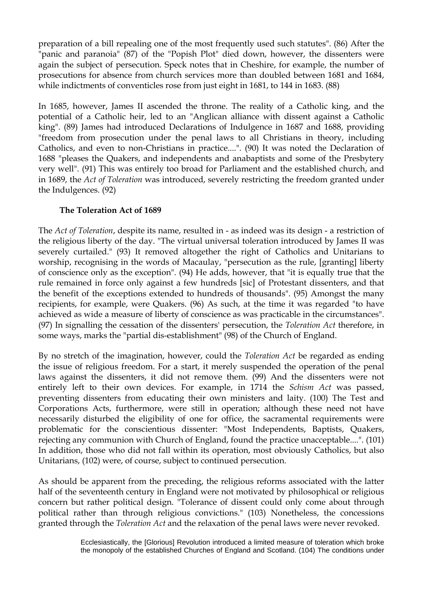preparation of a bill repealing one of the most frequently used such statutes". (86) After the "panic and paranoia" (87) of the "Popish Plot" died down, however, the dissenters were again the subject of persecution. Speck notes that in Cheshire, for example, the number of prosecutions for absence from church services more than doubled between 1681 and 1684, while indictments of conventicles rose from just eight in 1681, to 144 in 1683. (88)

In 1685, however, James II ascended the throne. The reality of a Catholic king, and the potential of a Catholic heir, led to an "Anglican alliance with dissent against a Catholic king". (89) James had introduced Declarations of Indulgence in 1687 and 1688, providing "freedom from prosecution under the penal laws to all Christians in theory, including Catholics, and even to non-Christians in practice....". (90) It was noted the Declaration of 1688 "pleases the Quakers, and independents and anabaptists and some of the Presbytery very well". (91) This was entirely too broad for Parliament and the established church, and in 1689, the *Act of Toleration* was introduced, severely restricting the freedom granted under the Indulgences. (92)

#### **The Toleration Act of 1689**

The *Act of Toleration*, despite its name, resulted in - as indeed was its design - a restriction of the religious liberty of the day. "The virtual universal toleration introduced by James II was severely curtailed." (93) It removed altogether the right of Catholics and Unitarians to worship, recognising in the words of Macaulay, "persecution as the rule, [granting] liberty of conscience only as the exception". (94) He adds, however, that "it is equally true that the rule remained in force only against a few hundreds [sic] of Protestant dissenters, and that the benefit of the exceptions extended to hundreds of thousands". (95) Amongst the many recipients, for example, were Quakers. (96) As such, at the time it was regarded "to have achieved as wide a measure of liberty of conscience as was practicable in the circumstances". (97) In signalling the cessation of the dissenters' persecution, the *Toleration Act* therefore, in some ways, marks the "partial dis-establishment" (98) of the Church of England.

By no stretch of the imagination, however, could the *Toleration Act* be regarded as ending the issue of religious freedom. For a start, it merely suspended the operation of the penal laws against the dissenters, it did not remove them. (99) And the dissenters were not entirely left to their own devices. For example, in 1714 the *Schism Act* was passed, preventing dissenters from educating their own ministers and laity. (100) The Test and Corporations Acts, furthermore, were still in operation; although these need not have necessarily disturbed the eligibility of one for office, the sacramental requirements were problematic for the conscientious dissenter: "Most Independents, Baptists, Quakers, rejecting any communion with Church of England, found the practice unacceptable....". (101) In addition, those who did not fall within its operation, most obviously Catholics, but also Unitarians, (102) were, of course, subject to continued persecution.

As should be apparent from the preceding, the religious reforms associated with the latter half of the seventeenth century in England were not motivated by philosophical or religious concern but rather political design. "Tolerance of dissent could only come about through political rather than through religious convictions." (103) Nonetheless, the concessions granted through the *Toleration Act* and the relaxation of the penal laws were never revoked.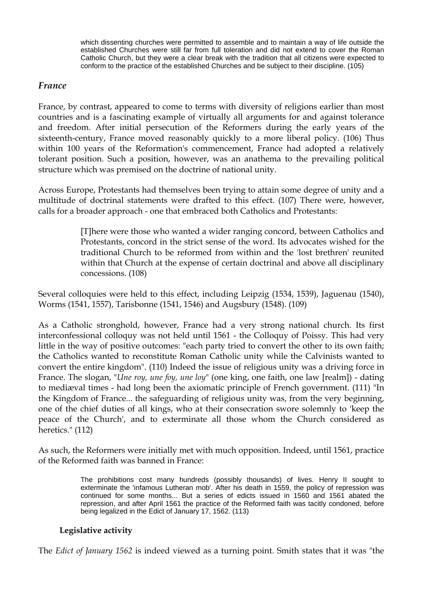which dissenting churches were permitted to assemble and to maintain a way of life outside the established Churches were still far from full toleration and did not extend to cover the Roman Catholic Church, but they were a clear break with the tradition that all citizens were expected to conform to the practice of the established Churches and be subject to their discipline. (105)

#### *France*

France, by contrast, appeared to come to terms with diversity of religions earlier than most countries and is a fascinating example of virtually all arguments for and against tolerance and freedom. After initial persecution of the Reformers during the early years of the sixteenth-century, France moved reasonably quickly to a more liberal policy. (106) Thus within 100 years of the Reformation's commencement, France had adopted a relatively tolerant position. Such a position, however, was an anathema to the prevailing political structure which was premised on the doctrine of national unity.

Across Europe, Protestants had themselves been trying to attain some degree of unity and a multitude of doctrinal statements were drafted to this effect. (107) There were, however, calls for a broader approach - one that embraced both Catholics and Protestants:

> [T]here were those who wanted a wider ranging concord, between Catholics and Protestants, concord in the strict sense of the word. Its advocates wished for the traditional Church to be reformed from within and the 'lost brethren' reunited within that Church at the expense of certain doctrinal and above all disciplinary concessions. (108)

Several colloquies were held to this effect, including Leipzig (1534, 1539), Jaguenau (1540), Worms (1541, 1557), Tarisbonne (1541, 1546) and Augsbury (1548). (109)

As a Catholic stronghold, however, France had a very strong national church. Its first interconfessional colloquy was not held until 1561 - the Colloquy of Poissy. This had very little in the way of positive outcomes: "each party tried to convert the other to its own faith; the Catholics wanted to reconstitute Roman Catholic unity while the Calvinists wanted to convert the entire kingdom". (110) Indeed the issue of religious unity was a driving force in France. The slogan, "*Une roy, une foy, une loy*" (one king, one faith, one law [realm]) - dating to mediæval times - had long been the axiomatic principle of French government. (111) "In the Kingdom of France... the safeguarding of religious unity was, from the very beginning, one of the chief duties of all kings, who at their consecration swore solemnly to 'keep the peace of the Church', and to exterminate all those whom the Church considered as heretics." (112)

As such, the Reformers were initially met with much opposition. Indeed, until 1561, practice of the Reformed faith was banned in France:

> The prohibitions cost many hundreds (possibly thousands) of lives. Henry II sought to exterminate the 'infamous Lutheran mob'. After his death in 1559, the policy of repression was continued for some months... But a series of edicts issued in 1560 and 1561 abated the repression, and after April 1561 the practice of the Reformed faith was tacitly condoned, before being legalized in the Edict of January 17, 1562. (113)

#### **Legislative activity**

The *Edict of January 1562* is indeed viewed as a turning point. Smith states that it was "the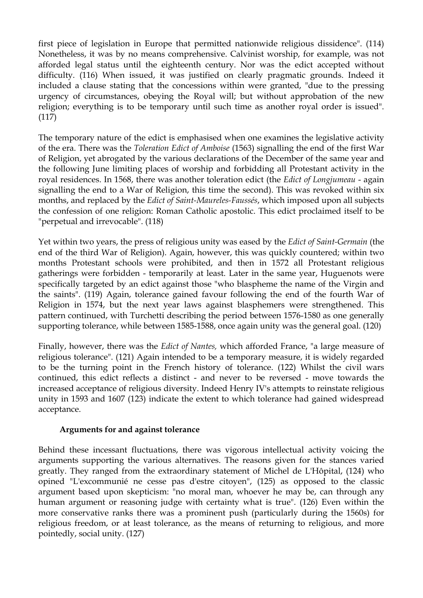first piece of legislation in Europe that permitted nationwide religious dissidence". (114) Nonetheless, it was by no means comprehensive. Calvinist worship, for example, was not afforded legal status until the eighteenth century. Nor was the edict accepted without difficulty. (116) When issued, it was justified on clearly pragmatic grounds. Indeed it included a clause stating that the concessions within were granted, "due to the pressing urgency of circumstances, obeying the Royal will; but without approbation of the new religion; everything is to be temporary until such time as another royal order is issued". (117)

The temporary nature of the edict is emphasised when one examines the legislative activity of the era. There was the *Toleration Edict of Amboise* (1563) signalling the end of the first War of Religion, yet abrogated by the various declarations of the December of the same year and the following June limiting places of worship and forbidding all Protestant activity in the royal residences. In 1568, there was another toleration edict (the *Edict of Longjumeau* - again signalling the end to a War of Religion, this time the second). This was revoked within six months, and replaced by the *Edict of Saint-Maureles-Faussés*, which imposed upon all subjects the confession of one religion: Roman Catholic apostolic. This edict proclaimed itself to be "perpetual and irrevocable". (118)

Yet within two years, the press of religious unity was eased by the *Edict of Saint-Germain* (the end of the third War of Religion). Again, however, this was quickly countered; within two months Protestant schools were prohibited, and then in 1572 all Protestant religious gatherings were forbidden - temporarily at least. Later in the same year, Huguenots were specifically targeted by an edict against those "who blaspheme the name of the Virgin and the saints". (119) Again, tolerance gained favour following the end of the fourth War of Religion in 1574, but the next year laws against blasphemers were strengthened. This pattern continued, with Turchetti describing the period between 1576-1580 as one generally supporting tolerance, while between 1585-1588, once again unity was the general goal. (120)

Finally, however, there was the *Edict of Nantes,* which afforded France, "a large measure of religious tolerance". (121) Again intended to be a temporary measure, it is widely regarded to be the turning point in the French history of tolerance. (122) Whilst the civil wars continued, this edict reflects a distinct - and never to be reversed - move towards the increased acceptance of religious diversity. Indeed Henry IV's attempts to reinstate religious unity in 1593 and 1607 (123) indicate the extent to which tolerance had gained widespread acceptance.

#### **Arguments for and against tolerance**

Behind these incessant fluctuations, there was vigorous intellectual activity voicing the arguments supporting the various alternatives. The reasons given for the stances varied greatly. They ranged from the extraordinary statement of Michel de L'Hôpital, (124) who opined "L'excommunié ne cesse pas d'estre citoyen", (125) as opposed to the classic argument based upon skepticism: "no moral man, whoever he may be, can through any human argument or reasoning judge with certainty what is true". (126) Even within the more conservative ranks there was a prominent push (particularly during the 1560s) for religious freedom, or at least tolerance, as the means of returning to religious, and more pointedly, social unity. (127)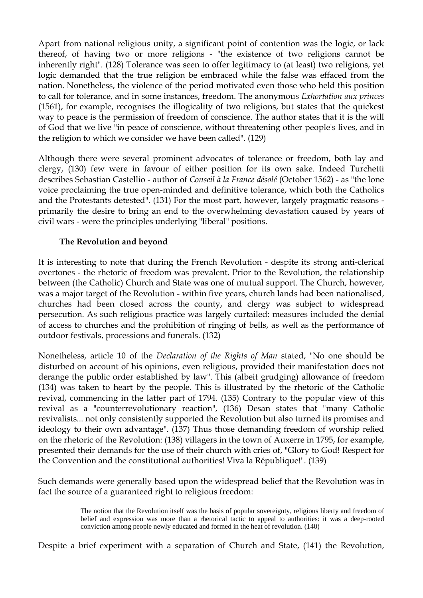Apart from national religious unity, a significant point of contention was the logic, or lack thereof, of having two or more religions - "the existence of two religions cannot be inherently right". (128) Tolerance was seen to offer legitimacy to (at least) two religions, yet logic demanded that the true religion be embraced while the false was effaced from the nation. Nonetheless, the violence of the period motivated even those who held this position to call for tolerance, and in some instances, freedom. The anonymous *Exhortation aux princes* (1561), for example, recognises the illogicality of two religions, but states that the quickest way to peace is the permission of freedom of conscience. The author states that it is the will of God that we live "in peace of conscience, without threatening other people's lives, and in the religion to which we consider we have been called". (129)

Although there were several prominent advocates of tolerance or freedom, both lay and clergy, (130) few were in favour of either position for its own sake. Indeed Turchetti describes Sebastian Castellio - author of *Conseil à la France désolé* (October 1562) - as "the lone voice proclaiming the true open-minded and definitive tolerance, which both the Catholics and the Protestants detested". (131) For the most part, however, largely pragmatic reasons primarily the desire to bring an end to the overwhelming devastation caused by years of civil wars - were the principles underlying "liberal" positions.

#### **The Revolution and beyond**

It is interesting to note that during the French Revolution - despite its strong anti-clerical overtones - the rhetoric of freedom was prevalent. Prior to the Revolution, the relationship between (the Catholic) Church and State was one of mutual support. The Church, however, was a major target of the Revolution - within five years, church lands had been nationalised, churches had been closed across the county, and clergy was subject to widespread persecution. As such religious practice was largely curtailed: measures included the denial of access to churches and the prohibition of ringing of bells, as well as the performance of outdoor festivals, processions and funerals. (132)

Nonetheless, article 10 of the *Declaration of the Rights of Man* stated, "No one should be disturbed on account of his opinions, even religious, provided their manifestation does not derange the public order established by law". This (albeit grudging) allowance of freedom (134) was taken to heart by the people. This is illustrated by the rhetoric of the Catholic revival, commencing in the latter part of 1794. (135) Contrary to the popular view of this revival as a "counterrevolutionary reaction", (136) Desan states that "many Catholic revivalists... not only consistently supported the Revolution but also turned its promises and ideology to their own advantage". (137) Thus those demanding freedom of worship relied on the rhetoric of the Revolution: (138) villagers in the town of Auxerre in 1795, for example, presented their demands for the use of their church with cries of, "Glory to God! Respect for the Convention and the constitutional authorities! Viva la République!". (139)

Such demands were generally based upon the widespread belief that the Revolution was in fact the source of a guaranteed right to religious freedom:

> The notion that the Revolution itself was the basis of popular sovereignty, religious liberty and freedom of belief and expression was more than a rhetorical tactic to appeal to authorities: it was a deep-rooted conviction among people newly educated and formed in the heat of revolution. (140)

Despite a brief experiment with a separation of Church and State, (141) the Revolution,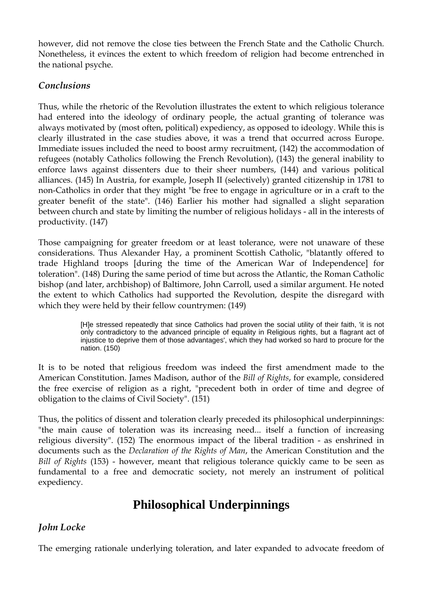however, did not remove the close ties between the French State and the Catholic Church. Nonetheless, it evinces the extent to which freedom of religion had become entrenched in the national psyche.

### *Conclusions*

Thus, while the rhetoric of the Revolution illustrates the extent to which religious tolerance had entered into the ideology of ordinary people, the actual granting of tolerance was always motivated by (most often, political) expediency, as opposed to ideology. While this is clearly illustrated in the case studies above, it was a trend that occurred across Europe. Immediate issues included the need to boost army recruitment, (142) the accommodation of refugees (notably Catholics following the French Revolution), (143) the general inability to enforce laws against dissenters due to their sheer numbers, (144) and various political alliances. (145) In Austria, for example, Joseph II (selectively) granted citizenship in 1781 to non-Catholics in order that they might "be free to engage in agriculture or in a craft to the greater benefit of the state". (146) Earlier his mother had signalled a slight separation between church and state by limiting the number of religious holidays - all in the interests of productivity. (147)

Those campaigning for greater freedom or at least tolerance, were not unaware of these considerations. Thus Alexander Hay, a prominent Scottish Catholic, "blatantly offered to trade Highland troops [during the time of the American War of Independence] for toleration". (148) During the same period of time but across the Atlantic, the Roman Catholic bishop (and later, archbishop) of Baltimore, John Carroll, used a similar argument. He noted the extent to which Catholics had supported the Revolution, despite the disregard with which they were held by their fellow countrymen: (149)

> [H]e stressed repeatedly that since Catholics had proven the social utility of their faith, 'it is not only contradictory to the advanced principle of equality in Religious rights, but a flagrant act of injustice to deprive them of those advantages', which they had worked so hard to procure for the nation. (150)

It is to be noted that religious freedom was indeed the first amendment made to the American Constitution. James Madison, author of the *Bill of Rights*, for example, considered the free exercise of religion as a right, "precedent both in order of time and degree of obligation to the claims of Civil Society". (151)

Thus, the politics of dissent and toleration clearly preceded its philosophical underpinnings: "the main cause of toleration was its increasing need... itself a function of increasing religious diversity". (152) The enormous impact of the liberal tradition - as enshrined in documents such as the *Declaration of the Rights of Man*, the American Constitution and the *Bill of Rights* (153) - however, meant that religious tolerance quickly came to be seen as fundamental to a free and democratic society, not merely an instrument of political expediency.

# **Philosophical Underpinnings**

## *John Locke*

The emerging rationale underlying toleration, and later expanded to advocate freedom of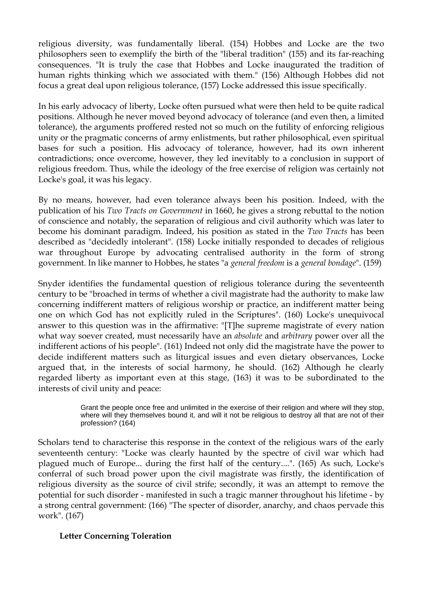religious diversity, was fundamentally liberal. (154) Hobbes and Locke are the two philosophers seen to exemplify the birth of the "liberal tradition" (155) and its far-reaching consequences. "It is truly the case that Hobbes and Locke inaugurated the tradition of human rights thinking which we associated with them." (156) Although Hobbes did not focus a great deal upon religious tolerance, (157) Locke addressed this issue specifically.

In his early advocacy of liberty, Locke often pursued what were then held to be quite radical positions. Although he never moved beyond advocacy of tolerance (and even then, a limited tolerance), the arguments proffered rested not so much on the futility of enforcing religious unity or the pragmatic concerns of army enlistments, but rather philosophical, even spiritual bases for such a position. His advocacy of tolerance, however, had its own inherent contradictions; once overcome, however, they led inevitably to a conclusion in support of religious freedom. Thus, while the ideology of the free exercise of religion was certainly not Locke's goal, it was his legacy.

By no means, however, had even tolerance always been his position. Indeed, with the publication of his *Two Tracts on Government* in 1660, he gives a strong rebuttal to the notion of conscience and notably, the separation of religious and civil authority which was later to become his dominant paradigm. Indeed, his position as stated in the *Two Tracts* has been described as "decidedly intolerant". (158) Locke initially responded to decades of religious war throughout Europe by advocating centralised authority in the form of strong government. In like manner to Hobbes, he states "a *general freedom* is a *general bondage*". (159)

Snyder identifies the fundamental question of religious tolerance during the seventeenth century to be "broached in terms of whether a civil magistrate had the authority to make law concerning indifferent matters of religious worship or practice, an indifferent matter being one on which God has not explicitly ruled in the Scriptures". (160) Locke's unequivocal answer to this question was in the affirmative: "[T]he supreme magistrate of every nation what way soever created, must necessarily have an *absolute* and *arbitrary* power over all the indifferent actions of his people". (161) Indeed not only did the magistrate have the power to decide indifferent matters such as liturgical issues and even dietary observances, Locke argued that, in the interests of social harmony, he should. (162) Although he clearly regarded liberty as important even at this stage, (163) it was to be subordinated to the interests of civil unity and peace:

> Grant the people once free and unlimited in the exercise of their religion and where will they stop, where will they themselves bound it, and will it not be religious to destroy all that are not of their profession? (164)

Scholars tend to characterise this response in the context of the religious wars of the early seventeenth century: "Locke was clearly haunted by the spectre of civil war which had plagued much of Europe... during the first half of the century....". (165) As such, Locke's conferral of such broad power upon the civil magistrate was firstly, the identification of religious diversity as the source of civil strife; secondly, it was an attempt to remove the potential for such disorder - manifested in such a tragic manner throughout his lifetime - by a strong central government: (166) "The specter of disorder, anarchy, and chaos pervade this work". (167)

#### **Letter Concerning Toleration**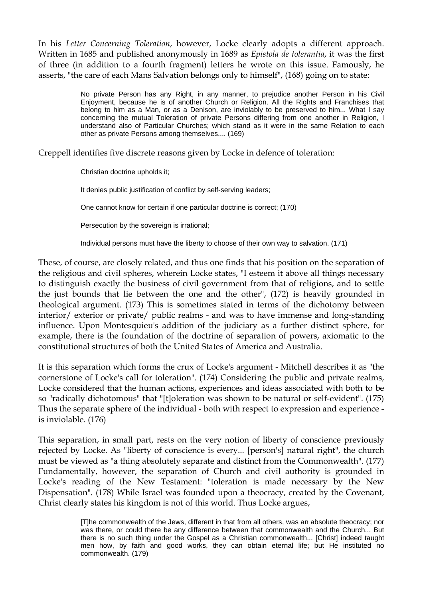In his *Letter Concerning Toleration*, however, Locke clearly adopts a different approach. Written in 1685 and published anonymously in 1689 as *Epistola de tolerantia*, it was the first of three (in addition to a fourth fragment) letters he wrote on this issue. Famously, he asserts, "the care of each Mans Salvation belongs only to himself", (168) going on to state:

> No private Person has any Right, in any manner, to prejudice another Person in his Civil Enjoyment, because he is of another Church or Religion. All the Rights and Franchises that belong to him as a Man, or as a Denison, are inviolably to be preserved to him... What I say concerning the mutual Toleration of private Persons differing from one another in Religion, I understand also of Particular Churches; which stand as it were in the same Relation to each other as private Persons among themselves.... (169)

Creppell identifies five discrete reasons given by Locke in defence of toleration:

Christian doctrine upholds it;

It denies public justification of conflict by self-serving leaders;

One cannot know for certain if one particular doctrine is correct; (170)

Persecution by the sovereign is irrational;

Individual persons must have the liberty to choose of their own way to salvation. (171)

These, of course, are closely related, and thus one finds that his position on the separation of the religious and civil spheres, wherein Locke states, "I esteem it above all things necessary to distinguish exactly the business of civil government from that of religions, and to settle the just bounds that lie between the one and the other", (172) is heavily grounded in theological argument. (173) This is sometimes stated in terms of the dichotomy between interior/ exterior or private/ public realms - and was to have immense and long-standing influence. Upon Montesquieu's addition of the judiciary as a further distinct sphere, for example, there is the foundation of the doctrine of separation of powers, axiomatic to the constitutional structures of both the United States of America and Australia.

It is this separation which forms the crux of Locke's argument - Mitchell describes it as "the cornerstone of Locke's call for toleration". (174) Considering the public and private realms, Locke considered that the human actions, experiences and ideas associated with both to be so "radically dichotomous" that "[t]oleration was shown to be natural or self-evident". (175) Thus the separate sphere of the individual - both with respect to expression and experience is inviolable. (176)

This separation, in small part, rests on the very notion of liberty of conscience previously rejected by Locke. As "liberty of conscience is every... [person's] natural right", the church must be viewed as "a thing absolutely separate and distinct from the Commonwealth". (177) Fundamentally, however, the separation of Church and civil authority is grounded in Locke's reading of the New Testament: "toleration is made necessary by the New Dispensation". (178) While Israel was founded upon a theocracy, created by the Covenant, Christ clearly states his kingdom is not of this world. Thus Locke argues,

> [T]he commonwealth of the Jews, different in that from all others, was an absolute theocracy; nor was there, or could there be any difference between that commonwealth and the Church... But there is no such thing under the Gospel as a Christian commonwealth... [Christ] indeed taught men how, by faith and good works, they can obtain eternal life; but He instituted no commonwealth. (179)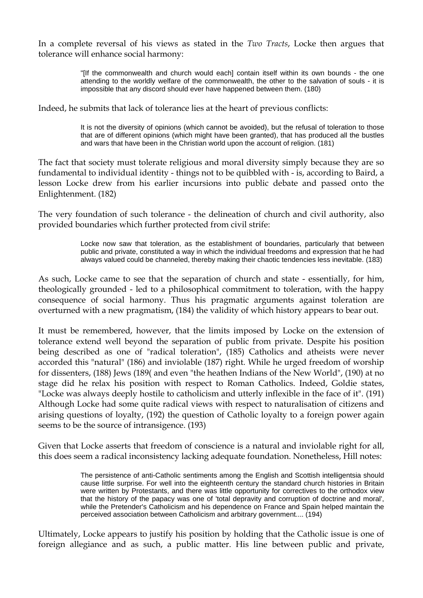In a complete reversal of his views as stated in the *Two Tracts*, Locke then argues that tolerance will enhance social harmony:

> "[If the commonwealth and church would each] contain itself within its own bounds - the one attending to the worldly welfare of the commonwealth, the other to the salvation of souls - it is impossible that any discord should ever have happened between them. (180)

Indeed, he submits that lack of tolerance lies at the heart of previous conflicts:

It is not the diversity of opinions (which cannot be avoided), but the refusal of toleration to those that are of different opinions (which might have been granted), that has produced all the bustles and wars that have been in the Christian world upon the account of religion. (181)

The fact that society must tolerate religious and moral diversity simply because they are so fundamental to individual identity - things not to be quibbled with - is, according to Baird, a lesson Locke drew from his earlier incursions into public debate and passed onto the Enlightenment. (182)

The very foundation of such tolerance - the delineation of church and civil authority, also provided boundaries which further protected from civil strife:

> Locke now saw that toleration, as the establishment of boundaries, particularly that between public and private, constituted a way in which the individual freedoms and expression that he had always valued could be channeled, thereby making their chaotic tendencies less inevitable. (183)

As such, Locke came to see that the separation of church and state - essentially, for him, theologically grounded - led to a philosophical commitment to toleration, with the happy consequence of social harmony. Thus his pragmatic arguments against toleration are overturned with a new pragmatism, (184) the validity of which history appears to bear out.

It must be remembered, however, that the limits imposed by Locke on the extension of tolerance extend well beyond the separation of public from private. Despite his position being described as one of "radical toleration", (185) Catholics and atheists were never accorded this "natural" (186) and inviolable (187) right. While he urged freedom of worship for dissenters, (188) Jews (189( and even "the heathen Indians of the New World", (190) at no stage did he relax his position with respect to Roman Catholics. Indeed, Goldie states, "Locke was always deeply hostile to catholicism and utterly inflexible in the face of it". (191) Although Locke had some quite radical views with respect to naturalisation of citizens and arising questions of loyalty, (192) the question of Catholic loyalty to a foreign power again seems to be the source of intransigence. (193)

Given that Locke asserts that freedom of conscience is a natural and inviolable right for all, this does seem a radical inconsistency lacking adequate foundation. Nonetheless, Hill notes:

> The persistence of anti-Catholic sentiments among the English and Scottish intelligentsia should cause little surprise. For well into the eighteenth century the standard church histories in Britain were written by Protestants, and there was little opportunity for correctives to the orthodox view that the history of the papacy was one of 'total depravity and corruption of doctrine and moral', while the Pretender's Catholicism and his dependence on France and Spain helped maintain the perceived association between Catholicism and arbitrary government.... (194)

Ultimately, Locke appears to justify his position by holding that the Catholic issue is one of foreign allegiance and as such, a public matter. His line between public and private,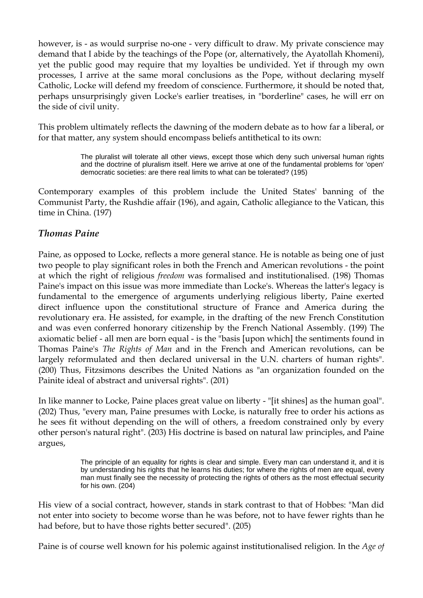however, is - as would surprise no-one - very difficult to draw. My private conscience may demand that I abide by the teachings of the Pope (or, alternatively, the Ayatollah Khomeni), yet the public good may require that my loyalties be undivided. Yet if through my own processes, I arrive at the same moral conclusions as the Pope, without declaring myself Catholic, Locke will defend my freedom of conscience. Furthermore, it should be noted that, perhaps unsurprisingly given Locke's earlier treatises, in "borderline" cases, he will err on the side of civil unity.

This problem ultimately reflects the dawning of the modern debate as to how far a liberal, or for that matter, any system should encompass beliefs antithetical to its own:

> The pluralist will tolerate all other views, except those which deny such universal human rights and the doctrine of pluralism itself. Here we arrive at one of the fundamental problems for 'open' democratic societies: are there real limits to what can be tolerated? (195)

Contemporary examples of this problem include the United States' banning of the Communist Party, the Rushdie affair (196), and again, Catholic allegiance to the Vatican, this time in China. (197)

#### *Thomas Paine*

Paine, as opposed to Locke, reflects a more general stance. He is notable as being one of just two people to play significant roles in both the French and American revolutions - the point at which the right of religious *freedom* was formalised and institutionalised. (198) Thomas Paine's impact on this issue was more immediate than Locke's. Whereas the latter's legacy is fundamental to the emergence of arguments underlying religious liberty, Paine exerted direct influence upon the constitutional structure of France and America during the revolutionary era. He assisted, for example, in the drafting of the new French Constitution and was even conferred honorary citizenship by the French National Assembly. (199) The axiomatic belief - all men are born equal - is the "basis [upon which] the sentiments found in Thomas Paine's *The Rights of Man* and in the French and American revolutions, can be largely reformulated and then declared universal in the U.N. charters of human rights". (200) Thus, Fitzsimons describes the United Nations as "an organization founded on the Painite ideal of abstract and universal rights". (201)

In like manner to Locke, Paine places great value on liberty - "[it shines] as the human goal". (202) Thus, "every man, Paine presumes with Locke, is naturally free to order his actions as he sees fit without depending on the will of others, a freedom constrained only by every other person's natural right". (203) His doctrine is based on natural law principles, and Paine argues,

> The principle of an equality for rights is clear and simple. Every man can understand it, and it is by understanding his rights that he learns his duties; for where the rights of men are equal, every man must finally see the necessity of protecting the rights of others as the most effectual security for his own. (204)

His view of a social contract, however, stands in stark contrast to that of Hobbes: "Man did not enter into society to become worse than he was before, not to have fewer rights than he had before, but to have those rights better secured". (205)

Paine is of course well known for his polemic against institutionalised religion. In the *Age of*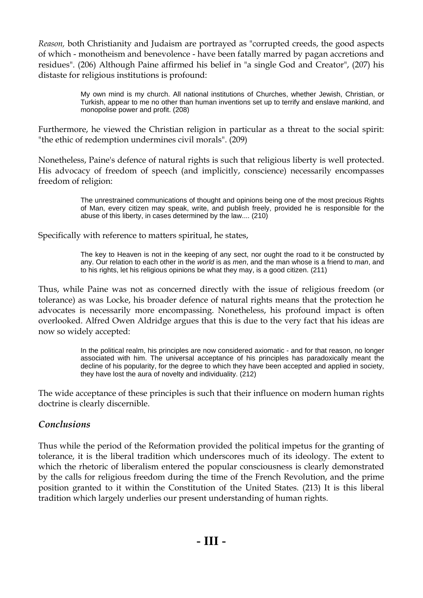*Reason,* both Christianity and Judaism are portrayed as "corrupted creeds, the good aspects of which - monotheism and benevolence - have been fatally marred by pagan accretions and residues". (206) Although Paine affirmed his belief in "a single God and Creator", (207) his distaste for religious institutions is profound:

> My own mind is my church. All national institutions of Churches, whether Jewish, Christian, or Turkish, appear to me no other than human inventions set up to terrify and enslave mankind, and monopolise power and profit. (208)

Furthermore, he viewed the Christian religion in particular as a threat to the social spirit: "the ethic of redemption undermines civil morals". (209)

Nonetheless, Paine's defence of natural rights is such that religious liberty is well protected. His advocacy of freedom of speech (and implicitly, conscience) necessarily encompasses freedom of religion:

> The unrestrained communications of thought and opinions being one of the most precious Rights of Man, every citizen may speak, write, and publish freely, provided he is responsible for the abuse of this liberty, in cases determined by the law.... (210)

Specifically with reference to matters spiritual, he states,

The key to Heaven is not in the keeping of any sect, nor ought the road to it be constructed by any. Our relation to each other in the *world* is as *men*, and the man whose is a friend to *man*, and to his rights, let his religious opinions be what they may, is a good citizen. (211)

Thus, while Paine was not as concerned directly with the issue of religious freedom (or tolerance) as was Locke, his broader defence of natural rights means that the protection he advocates is necessarily more encompassing. Nonetheless, his profound impact is often overlooked. Alfred Owen Aldridge argues that this is due to the very fact that his ideas are now so widely accepted:

> In the political realm, his principles are now considered axiomatic - and for that reason, no longer associated with him. The universal acceptance of his principles has paradoxically meant the decline of his popularity, for the degree to which they have been accepted and applied in society, they have lost the aura of novelty and individuality. (212)

The wide acceptance of these principles is such that their influence on modern human rights doctrine is clearly discernible.

## *Conclusions*

Thus while the period of the Reformation provided the political impetus for the granting of tolerance, it is the liberal tradition which underscores much of its ideology. The extent to which the rhetoric of liberalism entered the popular consciousness is clearly demonstrated by the calls for religious freedom during the time of the French Revolution, and the prime position granted to it within the Constitution of the United States. (213) It is this liberal tradition which largely underlies our present understanding of human rights.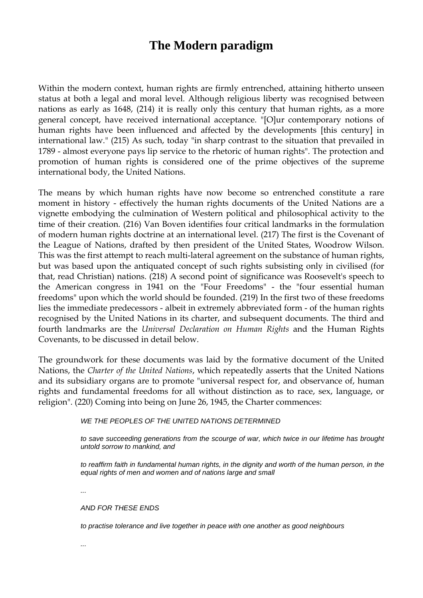# **The Modern paradigm**

Within the modern context, human rights are firmly entrenched, attaining hitherto unseen status at both a legal and moral level. Although religious liberty was recognised between nations as early as 1648, (214) it is really only this century that human rights, as a more general concept, have received international acceptance. "[O]ur contemporary notions of human rights have been influenced and affected by the developments [this century] in international law." (215) As such, today "in sharp contrast to the situation that prevailed in 1789 - almost everyone pays lip service to the rhetoric of human rights". The protection and promotion of human rights is considered one of the prime objectives of the supreme international body, the United Nations.

The means by which human rights have now become so entrenched constitute a rare moment in history - effectively the human rights documents of the United Nations are a vignette embodying the culmination of Western political and philosophical activity to the time of their creation. (216) Van Boven identifies four critical landmarks in the formulation of modern human rights doctrine at an international level. (217) The first is the Covenant of the League of Nations, drafted by then president of the United States, Woodrow Wilson. This was the first attempt to reach multi-lateral agreement on the substance of human rights, but was based upon the antiquated concept of such rights subsisting only in civilised (for that, read Christian) nations. (218) A second point of significance was Roosevelt's speech to the American congress in 1941 on the "Four Freedoms" - the "four essential human freedoms" upon which the world should be founded. (219) In the first two of these freedoms lies the immediate predecessors - albeit in extremely abbreviated form - of the human rights recognised by the United Nations in its charter, and subsequent documents. The third and fourth landmarks are the *Universal Declaration on Human Rights* and the Human Rights Covenants, to be discussed in detail below.

The groundwork for these documents was laid by the formative document of the United Nations, the *Charter of the United Nations*, which repeatedly asserts that the United Nations and its subsidiary organs are to promote "universal respect for, and observance of, human rights and fundamental freedoms for all without distinction as to race, sex, language, or religion". (220) Coming into being on June 26, 1945, the Charter commences:

*WE THE PEOPLES OF THE UNITED NATIONS DETERMINED* 

*to save succeeding generations from the scourge of war, which twice in our lifetime has brought untold sorrow to mankind, and* 

*to reaffirm faith in fundamental human rights, in the dignity and worth of the human person, in the equal rights of men and women and of nations large and small* 

*...* 

*AND FOR THESE ENDS* 

*to practise tolerance and live together in peace with one another as good neighbours* 

*...*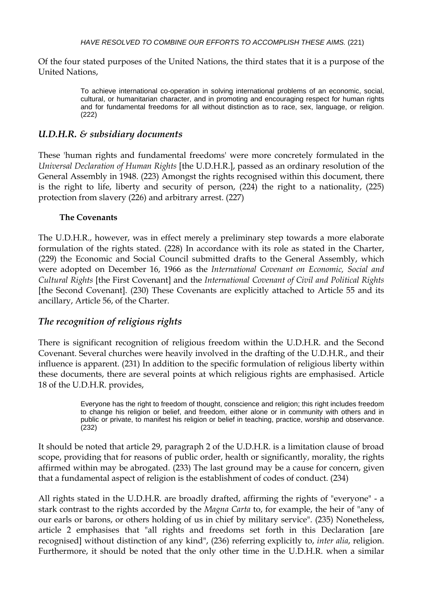Of the four stated purposes of the United Nations, the third states that it is a purpose of the United Nations,

> To achieve international co-operation in solving international problems of an economic, social, cultural, or humanitarian character, and in promoting and encouraging respect for human rights and for fundamental freedoms for all without distinction as to race, sex, language, or religion. (222)

#### *U.D.H.R. & subsidiary documents*

These 'human rights and fundamental freedoms' were more concretely formulated in the *Universal Declaration of Human Rights* [the U.D.H.R.], passed as an ordinary resolution of the General Assembly in 1948. (223) Amongst the rights recognised within this document, there is the right to life, liberty and security of person, (224) the right to a nationality, (225) protection from slavery (226) and arbitrary arrest. (227)

#### **The Covenants**

The U.D.H.R., however, was in effect merely a preliminary step towards a more elaborate formulation of the rights stated. (228) In accordance with its role as stated in the Charter, (229) the Economic and Social Council submitted drafts to the General Assembly, which were adopted on December 16, 1966 as the *International Covenant on Economic, Social and Cultural Rights* [the First Covenant] and the *International Covenant of Civil and Political Rights* [the Second Covenant]. (230) These Covenants are explicitly attached to Article 55 and its ancillary, Article 56, of the Charter.

#### *The recognition of religious rights*

There is significant recognition of religious freedom within the U.D.H.R. and the Second Covenant. Several churches were heavily involved in the drafting of the U.D.H.R., and their influence is apparent. (231) In addition to the specific formulation of religious liberty within these documents, there are several points at which religious rights are emphasised. Article 18 of the U.D.H.R. provides,

> Everyone has the right to freedom of thought, conscience and religion; this right includes freedom to change his religion or belief, and freedom, either alone or in community with others and in public or private, to manifest his religion or belief in teaching, practice, worship and observance. (232)

It should be noted that article 29, paragraph 2 of the U.D.H.R. is a limitation clause of broad scope, providing that for reasons of public order, health or significantly, morality, the rights affirmed within may be abrogated. (233) The last ground may be a cause for concern, given that a fundamental aspect of religion is the establishment of codes of conduct. (234)

All rights stated in the U.D.H.R. are broadly drafted, affirming the rights of "everyone" - a stark contrast to the rights accorded by the *Magna Carta* to, for example, the heir of "any of our earls or barons, or others holding of us in chief by military service". (235) Nonetheless, article 2 emphasises that "all rights and freedoms set forth in this Declaration [are recognised] without distinction of any kind", (236) referring explicitly to, *inter alia*, religion. Furthermore, it should be noted that the only other time in the U.D.H.R. when a similar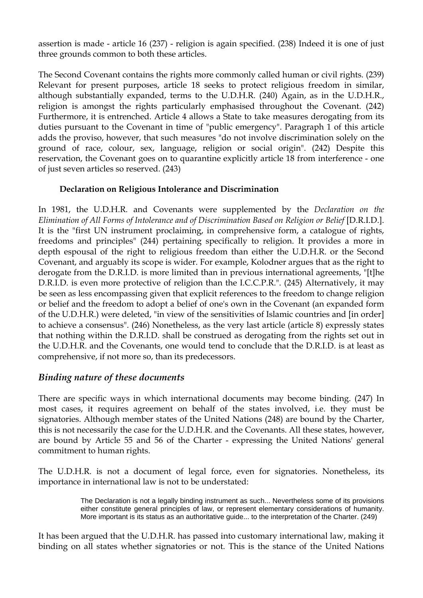assertion is made - article 16 (237) - religion is again specified. (238) Indeed it is one of just three grounds common to both these articles.

The Second Covenant contains the rights more commonly called human or civil rights. (239) Relevant for present purposes, article 18 seeks to protect religious freedom in similar, although substantially expanded, terms to the U.D.H.R. (240) Again, as in the U.D.H.R., religion is amongst the rights particularly emphasised throughout the Covenant. (242) Furthermore, it is entrenched. Article 4 allows a State to take measures derogating from its duties pursuant to the Covenant in time of "public emergency". Paragraph 1 of this article adds the proviso, however, that such measures "do not involve discrimination solely on the ground of race, colour, sex, language, religion or social origin". (242) Despite this reservation, the Covenant goes on to quarantine explicitly article 18 from interference - one of just seven articles so reserved. (243)

#### **Declaration on Religious Intolerance and Discrimination**

In 1981, the U.D.H.R. and Covenants were supplemented by the *Declaration on the Elimination of All Forms of Intolerance and of Discrimination Based on Religion or Belief* [D.R.I.D.]. It is the "first UN instrument proclaiming, in comprehensive form, a catalogue of rights, freedoms and principles" (244) pertaining specifically to religion. It provides a more in depth espousal of the right to religious freedom than either the U.D.H.R. or the Second Covenant, and arguably its scope is wider. For example, Kolodner argues that as the right to derogate from the D.R.I.D. is more limited than in previous international agreements, "[t]he D.R.I.D. is even more protective of religion than the I.C.C.P.R.". (245) Alternatively, it may be seen as less encompassing given that explicit references to the freedom to change religion or belief and the freedom to adopt a belief of one's own in the Covenant (an expanded form of the U.D.H.R.) were deleted, "in view of the sensitivities of Islamic countries and [in order] to achieve a consensus". (246) Nonetheless, as the very last article (article 8) expressly states that nothing within the D.R.I.D. shall be construed as derogating from the rights set out in the U.D.H.R. and the Covenants, one would tend to conclude that the D.R.I.D. is at least as comprehensive, if not more so, than its predecessors.

#### *Binding nature of these documents*

There are specific ways in which international documents may become binding. (247) In most cases, it requires agreement on behalf of the states involved, i.e. they must be signatories. Although member states of the United Nations (248) are bound by the Charter, this is not necessarily the case for the U.D.H.R. and the Covenants. All these states, however, are bound by Article 55 and 56 of the Charter - expressing the United Nations' general commitment to human rights.

The U.D.H.R. is not a document of legal force, even for signatories. Nonetheless, its importance in international law is not to be understated:

> The Declaration is not a legally binding instrument as such... Nevertheless some of its provisions either constitute general principles of law, or represent elementary considerations of humanity. More important is its status as an authoritative guide... to the interpretation of the Charter. (249)

It has been argued that the U.D.H.R. has passed into customary international law, making it binding on all states whether signatories or not. This is the stance of the United Nations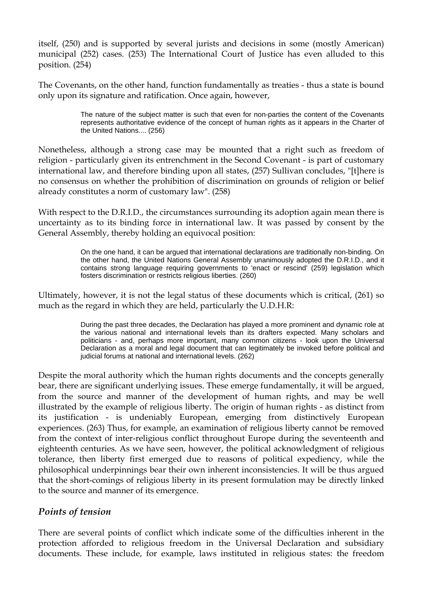itself, (250) and is supported by several jurists and decisions in some (mostly American) municipal (252) cases. (253) The International Court of Justice has even alluded to this position. (254)

The Covenants, on the other hand, function fundamentally as treaties - thus a state is bound only upon its signature and ratification. Once again, however,

> The nature of the subject matter is such that even for non-parties the content of the Covenants represents authoritative evidence of the concept of human rights as it appears in the Charter of the United Nations.... (256)

Nonetheless, although a strong case may be mounted that a right such as freedom of religion - particularly given its entrenchment in the Second Covenant - is part of customary international law, and therefore binding upon all states, (257) Sullivan concludes, "[t]here is no consensus on whether the prohibition of discrimination on grounds of religion or belief already constitutes a norm of customary law". (258)

With respect to the D.R.I.D., the circumstances surrounding its adoption again mean there is uncertainty as to its binding force in international law. It was passed by consent by the General Assembly, thereby holding an equivocal position:

> On the one hand, it can be argued that international declarations are traditionally non-binding. On the other hand, the United Nations General Assembly unanimously adopted the D.R.I.D., and it contains strong language requiring governments to 'enact or rescind' (259) legislation which fosters discrimination or restricts religious liberties. (260)

Ultimately, however, it is not the legal status of these documents which is critical, (261) so much as the regard in which they are held, particularly the U.D.H.R:

> During the past three decades, the Declaration has played a more prominent and dynamic role at the various national and international levels than its drafters expected. Many scholars and politicians - and, perhaps more important, many common citizens - look upon the Universal Declaration as a moral and legal document that can legitimately be invoked before political and judicial forums at national and international levels. (262)

Despite the moral authority which the human rights documents and the concepts generally bear, there are significant underlying issues. These emerge fundamentally, it will be argued, from the source and manner of the development of human rights, and may be well illustrated by the example of religious liberty. The origin of human rights - as distinct from its justification - is undeniably European, emerging from distinctively European experiences. (263) Thus, for example, an examination of religious liberty cannot be removed from the context of inter-religious conflict throughout Europe during the seventeenth and eighteenth centuries. As we have seen, however, the political acknowledgment of religious tolerance, then liberty first emerged due to reasons of political expediency, while the philosophical underpinnings bear their own inherent inconsistencies. It will be thus argued that the short-comings of religious liberty in its present formulation may be directly linked to the source and manner of its emergence.

#### *Points of tension*

There are several points of conflict which indicate some of the difficulties inherent in the protection afforded to religious freedom in the Universal Declaration and subsidiary documents. These include, for example, laws instituted in religious states: the freedom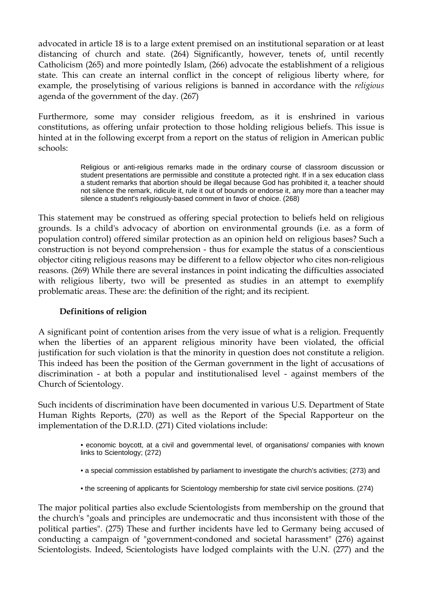advocated in article 18 is to a large extent premised on an institutional separation or at least distancing of church and state. (264) Significantly, however, tenets of, until recently Catholicism (265) and more pointedly Islam, (266) advocate the establishment of a religious state. This can create an internal conflict in the concept of religious liberty where, for example, the proselytising of various religions is banned in accordance with the *religious* agenda of the government of the day. (267)

Furthermore, some may consider religious freedom, as it is enshrined in various constitutions, as offering unfair protection to those holding religious beliefs. This issue is hinted at in the following excerpt from a report on the status of religion in American public schools:

> Religious or anti-religious remarks made in the ordinary course of classroom discussion or student presentations are permissible and constitute a protected right. If in a sex education class a student remarks that abortion should be illegal because God has prohibited it, a teacher should not silence the remark, ridicule it, rule it out of bounds or endorse it, any more than a teacher may silence a student's religiously-based comment in favor of choice. (268)

This statement may be construed as offering special protection to beliefs held on religious grounds. Is a child's advocacy of abortion on environmental grounds (i.e. as a form of population control) offered similar protection as an opinion held on religious bases? Such a construction is not beyond comprehension - thus for example the status of a conscientious objector citing religious reasons may be different to a fellow objector who cites non-religious reasons. (269) While there are several instances in point indicating the difficulties associated with religious liberty, two will be presented as studies in an attempt to exemplify problematic areas. These are: the definition of the right; and its recipient.

#### **Definitions of religion**

A significant point of contention arises from the very issue of what is a religion. Frequently when the liberties of an apparent religious minority have been violated, the official justification for such violation is that the minority in question does not constitute a religion. This indeed has been the position of the German government in the light of accusations of discrimination - at both a popular and institutionalised level - against members of the Church of Scientology.

Such incidents of discrimination have been documented in various U.S. Department of State Human Rights Reports, (270) as well as the Report of the Special Rapporteur on the implementation of the D.R.I.D. (271) Cited violations include:

- economic boycott, at a civil and governmental level, of organisations/ companies with known links to Scientology; (272)
- a special commission established by parliament to investigate the church's activities; (273) and
- the screening of applicants for Scientology membership for state civil service positions. (274)

The major political parties also exclude Scientologists from membership on the ground that the church's "goals and principles are undemocratic and thus inconsistent with those of the political parties". (275) These and further incidents have led to Germany being accused of conducting a campaign of "government-condoned and societal harassment" (276) against Scientologists. Indeed, Scientologists have lodged complaints with the U.N. (277) and the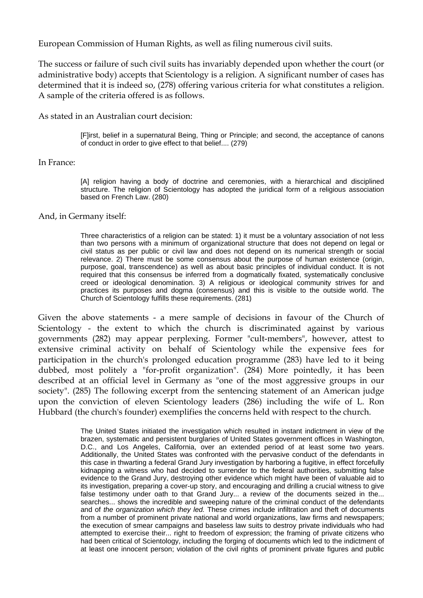European Commission of Human Rights, as well as filing numerous civil suits.

The success or failure of such civil suits has invariably depended upon whether the court (or administrative body) accepts that Scientology is a religion. A significant number of cases has determined that it is indeed so, (278) offering various criteria for what constitutes a religion. A sample of the criteria offered is as follows.

As stated in an Australian court decision:

[F]irst, belief in a supernatural Being, Thing or Principle; and second, the acceptance of canons of conduct in order to give effect to that belief.... (279)

#### In France:

[A] religion having a body of doctrine and ceremonies, with a hierarchical and disciplined structure. The religion of Scientology has adopted the juridical form of a religious association based on French Law. (280)

#### And, in Germany itself:

Three characteristics of a religion can be stated: 1) it must be a voluntary association of not less than two persons with a minimum of organizational structure that does not depend on legal or civil status as per public or civil law and does not depend on its numerical strength or social relevance. 2) There must be some consensus about the purpose of human existence (origin, purpose, goal, transcendence) as well as about basic principles of individual conduct. It is not required that this consensus be inferred from a dogmatically fixated, systematically conclusive creed or ideological denomination. 3) A religious or ideological community strives for and practices its purposes and dogma (consensus) and this is visible to the outside world. The Church of Scientology fulfills these requirements. (281)

Given the above statements - a mere sample of decisions in favour of the Church of Scientology - the extent to which the church is discriminated against by various governments (282) may appear perplexing. Former "cult-members", however, attest to extensive criminal activity on behalf of Scientology while the expensive fees for participation in the church's prolonged education programme (283) have led to it being dubbed, most politely a "for-profit organization". (284) More pointedly, it has been described at an official level in Germany as "one of the most aggressive groups in our society". (285) The following excerpt from the sentencing statement of an American judge upon the conviction of eleven Scientology leaders (286) including the wife of L. Ron Hubbard (the church's founder) exemplifies the concerns held with respect to the church.

> The United States initiated the investigation which resulted in instant indictment in view of the brazen, systematic and persistent burglaries of United States government offices in Washington, D.C., and Los Angeles, California, over an extended period of at least some two years. Additionally, the United States was confronted with the pervasive conduct of the defendants in this case in thwarting a federal Grand Jury investigation by harboring a fugitive, in effect forcefully kidnapping a witness who had decided to surrender to the federal authorities, submitting false evidence to the Grand Jury, destroying other evidence which might have been of valuable aid to its investigation, preparing a cover-up story, and encouraging and drilling a crucial witness to give false testimony under oath to that Grand Jury... a review of the documents seized in the... searches... shows the incredible and sweeping nature of the criminal conduct of the defendants and of *the organization which they led.* These crimes include infiltration and theft of documents from a number of prominent private national and world organizations, law firms and newspapers; the execution of smear campaigns and baseless law suits to destroy private individuals who had attempted to exercise their... right to freedom of expression; the framing of private citizens who had been critical of Scientology, including the forging of documents which led to the indictment of at least one innocent person; violation of the civil rights of prominent private figures and public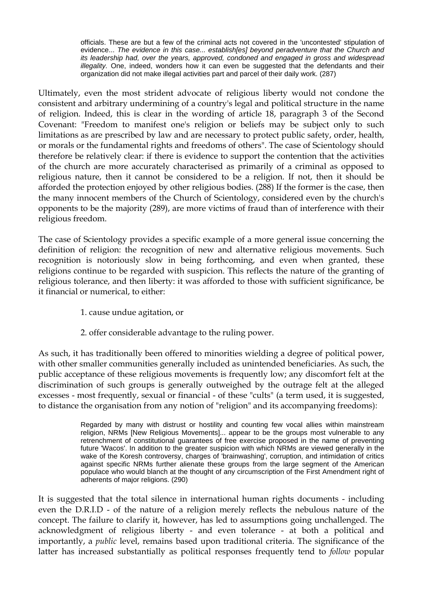officials. These are but a few of the criminal acts not covered in the 'uncontested' stipulation of evidence... *The evidence in this case... establish[es] beyond peradventure that the Church and its leadership had, over the years, approved, condoned and engaged in gross and widespread illegality.* One, indeed, wonders how it can even be suggested that the defendants and their organization did not make illegal activities part and parcel of their daily work. (287)

Ultimately, even the most strident advocate of religious liberty would not condone the consistent and arbitrary undermining of a country's legal and political structure in the name of religion. Indeed, this is clear in the wording of article 18, paragraph 3 of the Second Covenant: "Freedom to manifest one's religion or beliefs may be subject only to such limitations as are prescribed by law and are necessary to protect public safety, order, health, or morals or the fundamental rights and freedoms of others". The case of Scientology should therefore be relatively clear: if there is evidence to support the contention that the activities of the church are more accurately characterised as primarily of a criminal as opposed to religious nature, then it cannot be considered to be a religion. If not, then it should be afforded the protection enjoyed by other religious bodies. (288) If the former is the case, then the many innocent members of the Church of Scientology, considered even by the church's opponents to be the majority (289), are more victims of fraud than of interference with their religious freedom.

The case of Scientology provides a specific example of a more general issue concerning the definition of religion: the recognition of new and alternative religious movements. Such recognition is notoriously slow in being forthcoming, and even when granted, these religions continue to be regarded with suspicion. This reflects the nature of the granting of religious tolerance, and then liberty: it was afforded to those with sufficient significance, be it financial or numerical, to either:

- 1. cause undue agitation, or
- 2. offer considerable advantage to the ruling power.

As such, it has traditionally been offered to minorities wielding a degree of political power, with other smaller communities generally included as unintended beneficiaries. As such, the public acceptance of these religious movements is frequently low; any discomfort felt at the discrimination of such groups is generally outweighed by the outrage felt at the alleged excesses - most frequently, sexual or financial - of these "cults" (a term used, it is suggested, to distance the organisation from any notion of "religion" and its accompanying freedoms):

> Regarded by many with distrust or hostility and counting few vocal allies within mainstream religion, NRMs [New Religious Movements]... appear to be the groups most vulnerable to any retrenchment of constitutional guarantees of free exercise proposed in the name of preventing future 'Wacos'. In addition to the greater suspicion with which NRMs are viewed generally in the wake of the Koresh controversy, charges of 'brainwashing', corruption, and intimidation of critics against specific NRMs further alienate these groups from the large segment of the American populace who would blanch at the thought of any circumscription of the First Amendment right of adherents of major religions. (290)

It is suggested that the total silence in international human rights documents - including even the D.R.I.D - of the nature of a religion merely reflects the nebulous nature of the concept. The failure to clarify it, however, has led to assumptions going unchallenged. The acknowledgment of religious liberty - and even tolerance - at both a political and importantly, a *public* level, remains based upon traditional criteria. The significance of the latter has increased substantially as political responses frequently tend to *follow* popular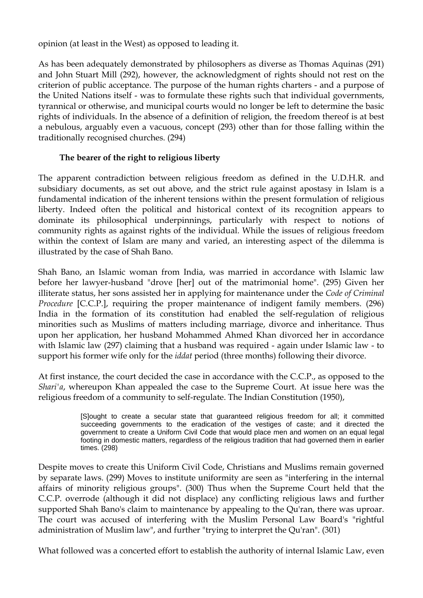opinion (at least in the West) as opposed to leading it.

As has been adequately demonstrated by philosophers as diverse as Thomas Aquinas (291) and John Stuart Mill (292), however, the acknowledgment of rights should not rest on the criterion of public acceptance. The purpose of the human rights charters - and a purpose of the United Nations itself - was to formulate these rights such that individual governments, tyrannical or otherwise, and municipal courts would no longer be left to determine the basic rights of individuals. In the absence of a definition of religion, the freedom thereof is at best a nebulous, arguably even a vacuous, concept (293) other than for those falling within the traditionally recognised churches. (294)

#### **The bearer of the right to religious liberty**

The apparent contradiction between religious freedom as defined in the U.D.H.R. and subsidiary documents, as set out above, and the strict rule against apostasy in Islam is a fundamental indication of the inherent tensions within the present formulation of religious liberty. Indeed often the political and historical context of its recognition appears to dominate its philosophical underpinnings, particularly with respect to notions of community rights as against rights of the individual. While the issues of religious freedom within the context of Islam are many and varied, an interesting aspect of the dilemma is illustrated by the case of Shah Bano.

Shah Bano, an Islamic woman from India, was married in accordance with Islamic law before her lawyer-husband "drove [her] out of the matrimonial home". (295) Given her illiterate status, her sons assisted her in applying for maintenance under the *Code of Criminal Procedure* [C.C.P.], requiring the proper maintenance of indigent family members. (296) India in the formation of its constitution had enabled the self-regulation of religious minorities such as Muslims of matters including marriage, divorce and inheritance. Thus upon her application, her husband Mohammed Ahmed Khan divorced her in accordance with Islamic law (297) claiming that a husband was required - again under Islamic law - to support his former wife only for the *iddat* period (three months) following their divorce.

At first instance, the court decided the case in accordance with the C.C.P., as opposed to the *Shari'a*, whereupon Khan appealed the case to the Supreme Court. At issue here was the religious freedom of a community to self-regulate. The Indian Constitution (1950),

> [S]ought to create a secular state that guaranteed religious freedom for all; it committed succeeding governments to the eradication of the vestiges of caste; and it directed the government to create a Uniform Civil Code that would place men and women on an equal legal footing in domestic matters, regardless of the religious tradition that had governed them in earlier times. (298)

Despite moves to create this Uniform Civil Code, Christians and Muslims remain governed by separate laws. (299) Moves to institute uniformity are seen as "interfering in the internal affairs of minority religious groups". (300) Thus when the Supreme Court held that the C.C.P. overrode (although it did not displace) any conflicting religious laws and further supported Shah Bano's claim to maintenance by appealing to the Qu'ran, there was uproar. The court was accused of interfering with the Muslim Personal Law Board's "rightful administration of Muslim law", and further "trying to interpret the Qu'ran". (301)

What followed was a concerted effort to establish the authority of internal Islamic Law, even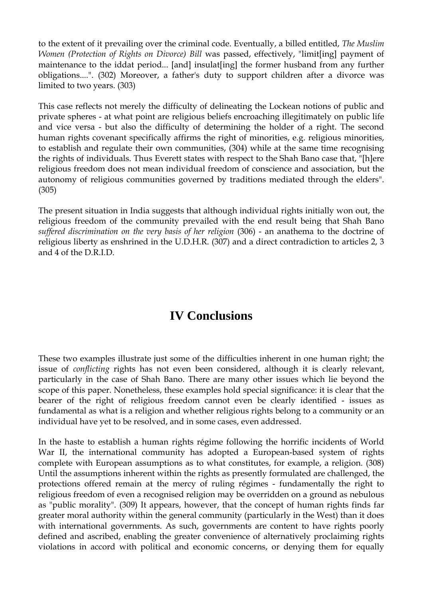to the extent of it prevailing over the criminal code. Eventually, a billed entitled, *The Muslim Women (Protection of Rights on Divorce) Bill* was passed, effectively, "limit[ing] payment of maintenance to the iddat period... [and] insulat[ing] the former husband from any further obligations....". (302) Moreover, a father's duty to support children after a divorce was limited to two years. (303)

This case reflects not merely the difficulty of delineating the Lockean notions of public and private spheres - at what point are religious beliefs encroaching illegitimately on public life and vice versa - but also the difficulty of determining the holder of a right. The second human rights covenant specifically affirms the right of minorities, e.g. religious minorities, to establish and regulate their own communities, (304) while at the same time recognising the rights of individuals. Thus Everett states with respect to the Shah Bano case that, "[h]ere religious freedom does not mean individual freedom of conscience and association, but the autonomy of religious communities governed by traditions mediated through the elders". (305)

The present situation in India suggests that although individual rights initially won out, the religious freedom of the community prevailed with the end result being that Shah Bano *suffered discrimination on the very basis of her religion* (306) - an anathema to the doctrine of religious liberty as enshrined in the U.D.H.R. (307) and a direct contradiction to articles 2, 3 and 4 of the D.R.I.D.

# **IV Conclusions**

These two examples illustrate just some of the difficulties inherent in one human right; the issue of *conflicting* rights has not even been considered, although it is clearly relevant, particularly in the case of Shah Bano. There are many other issues which lie beyond the scope of this paper. Nonetheless, these examples hold special significance: it is clear that the bearer of the right of religious freedom cannot even be clearly identified - issues as fundamental as what is a religion and whether religious rights belong to a community or an individual have yet to be resolved, and in some cases, even addressed.

In the haste to establish a human rights régime following the horrific incidents of World War II, the international community has adopted a European-based system of rights complete with European assumptions as to what constitutes, for example, a religion. (308) Until the assumptions inherent within the rights as presently formulated are challenged, the protections offered remain at the mercy of ruling régimes - fundamentally the right to religious freedom of even a recognised religion may be overridden on a ground as nebulous as "public morality". (309) It appears, however, that the concept of human rights finds far greater moral authority within the general community (particularly in the West) than it does with international governments. As such, governments are content to have rights poorly defined and ascribed, enabling the greater convenience of alternatively proclaiming rights violations in accord with political and economic concerns, or denying them for equally